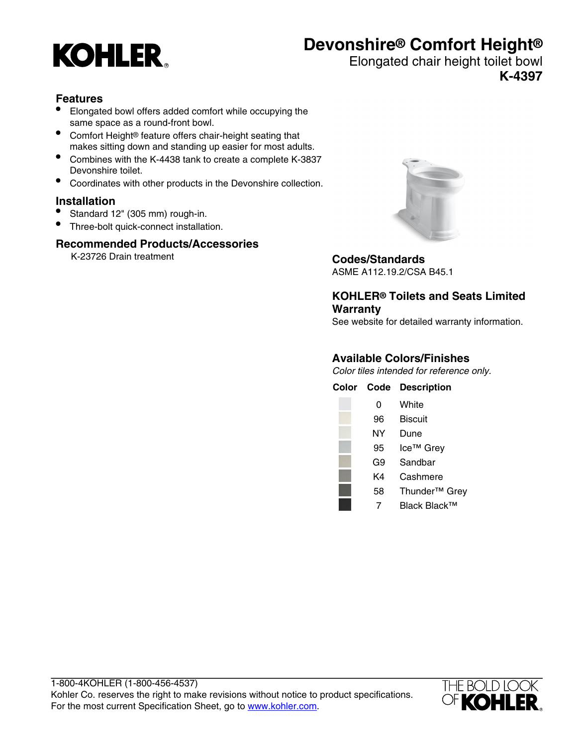# **KOHLER**

# **Devonshire® Comfort Height®**

Elongated chair height toilet bowl **K-4397**

### **Features**

- Elongated bowl offers added comfort while occupying the same space as a round-front bowl.
- Comfort Height® feature offers chair-height seating that makes sitting down and standing up easier for most adults.
- Combines with the K-4438 tank to create a complete K-3837 Devonshire toilet.
- Coordinates with other products in the Devonshire collection.

#### **Installation**

- Standard 12" (305 mm) rough-in.
- Three-bolt quick-connect installation.

#### **Recommended Products/Accessories**

K-23726 Drain treatment **Codes/Standards**



ASME A112.19.2/CSA B45.1

#### **KOHLER® Toilets and Seats Limited Warranty**

See website for detailed warranty information.

#### **Available Colors/Finishes**

Color tiles intended for reference only.

| Color | Code | <b>Description</b>        |
|-------|------|---------------------------|
|       | 0    | White                     |
|       | 96   | Biscuit                   |
|       | NΥ   | Dune                      |
|       | 95   | Ice <sup>™</sup> Grey     |
|       | G9   | Sandbar                   |
|       | K4   | Cashmere                  |
|       | 58   | Thunder <sup>™</sup> Grey |
|       |      | Black Black™              |